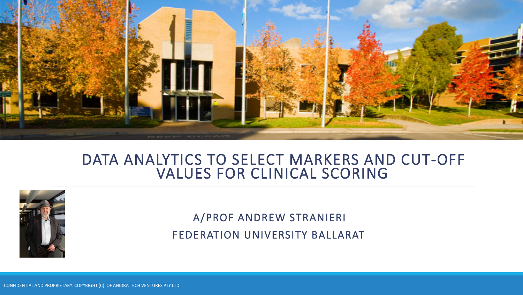

### DATA ANALYTICS TO SELECT MARKERS AND CUT-OFF VALUES FOR CLINICAL SCORING



A/PROF ANDREW STRANIERI FEDERATION UNIVERSITY BALLARAT

CONFIDENTIAL AND PROPRIETARY. COPYRIGHT (C) OF ANIDRA TECH VENTURES PTY LTD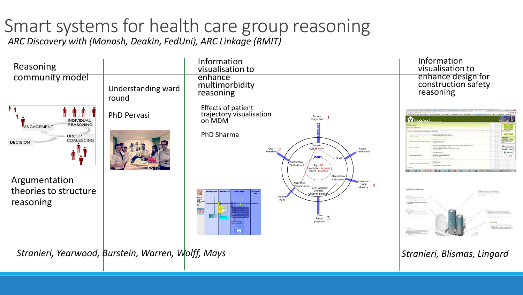# Smart systems for health care group reasoning

*ARC Discovery with (Monash, Deakin, FedUni), ARC Linkage (RMIT)*

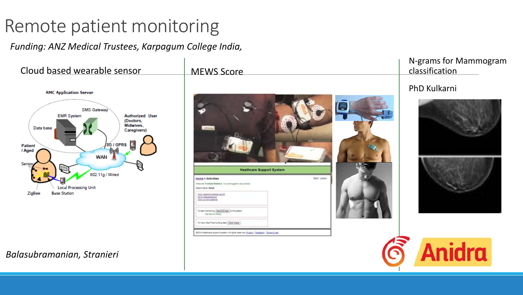## Remote patient monitoring

*Funding: ANZ Medical Trustees, Karpagum College India,* 

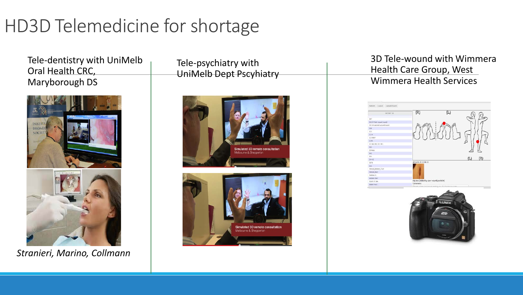## HD3D Telemedicine for shortage

Tele-dentistry with UniMelb Oral Health CRC, Maryborough DS



*Stranieri, Marino, Collmann*

Tele-psychiatry with UniMelb Dept Pscyhiatry





3D Tele-wound with Wimmera Health Care Group, West Wimmera Health Services



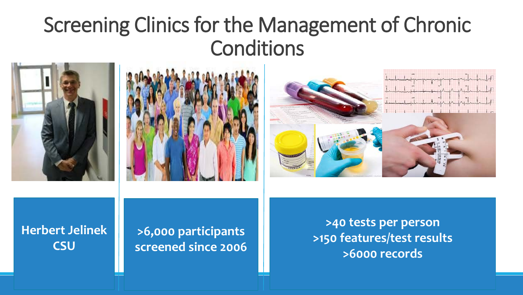## Screening Clinics for the Management of Chronic Conditions







### **Herbert Jelinek CSU**

**>6,000 participants screened since 2006**

**>40 tests per person >150 features/test results >6000 records**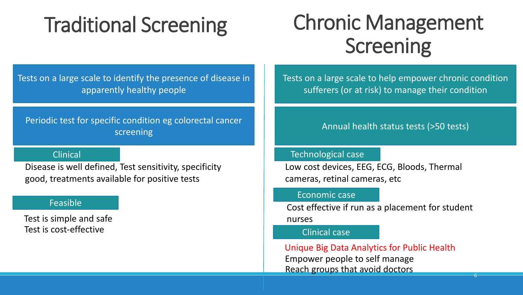# Traditional Screening

# Chronic Management Screening

Tests on a large scale to identify the presence of disease in apparently healthy people

Periodic test for specific condition eg colorectal cancer screening and the series of the series of the series of the series (250 tests) screening

### Clinical

Disease is well defined, Test sensitivity, specificity good, treatments available for positive tests

### Feasible

Test is simple and safe Test is cost-effective

Tests on a large scale to help empower chronic condition sufferers (or at risk) to manage their condition

### Technological case

Low cost devices, EEG, ECG, Bloods, Thermal cameras, retinal cameras, etc

#### Economic case

Cost effective if run as a placement for student nurses

### Clinical case

Unique Big Data Analytics for Public Health Empower people to self manage Reach groups that avoid doctors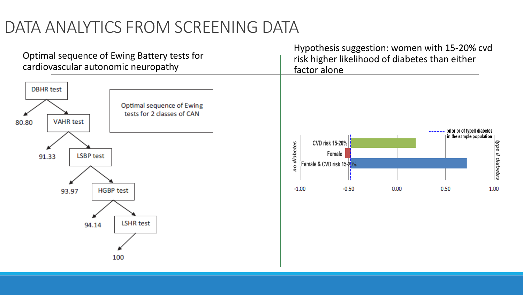## DATA ANALYTICS FROM SCREENING DATA

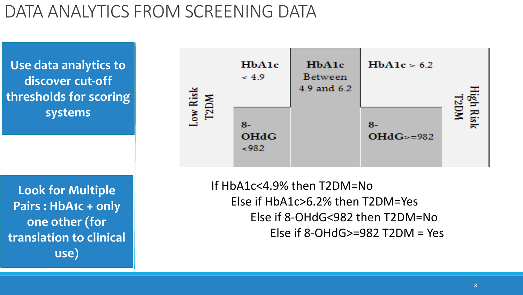## DATA ANALYTICS FROM SCREENING DATA

**Use data analytics to discover cut-off thresholds for scoring systems**

**Look for Multiple Pairs : HbA1c + only one other (for translation to clinical use)** 

![](_page_7_Figure_3.jpeg)

If HbA1c<4.9% then T2DM=No Else if HbA1c>6.2% then T2DM=Yes Else if 8-OHdG<982 then T2DM=No Else if 8-OHdG>=982 T2DM = Yes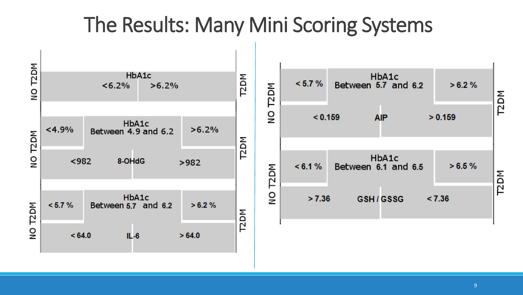## The Results: Many Mini Scoring Systems

![](_page_8_Figure_1.jpeg)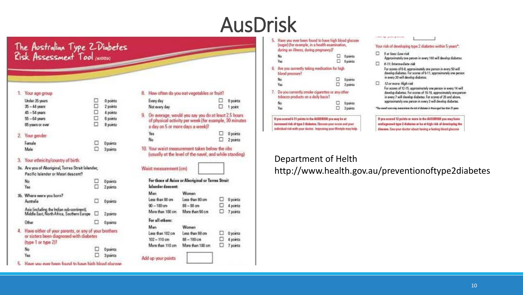## AusDrisk

# The Australian Type ZDiabetes<br>Risk Assessment Tool (noon)

0 points

2 points

4 points 6 points

8 points

Oponta 3 points

0 points  $2 - 1$ 

#### 1. Your age group

| Under 35 years   |  |
|------------------|--|
| $35 - 44$ years  |  |
| $45 - 54$ years  |  |
| $55 - 64$ years  |  |
| 65 years or over |  |
| Your gender      |  |
| Forsalo          |  |
| Mele             |  |
|                  |  |

#### Your ethnicity/country of birth: 3.

| 3a. Are you of Abongsnal, Torres Strait Islander, |   |
|---------------------------------------------------|---|
| Pacific Islander or Maori descent?                |   |
| -No.                                              |   |
| Yes                                               | Ð |
| <b>Conditions</b> were a senior to M.             |   |

|                                                                                                                        |   | <b>4.5/1/1110</b>          |
|------------------------------------------------------------------------------------------------------------------------|---|----------------------------|
| b. Where were you born?<br>Australia                                                                                   |   | 0 points                   |
| Asia (including the Indian sub-continent).<br>Middle East, North Africa, Southern Europe                               | Ω | 2 points                   |
| <b>Other</b>                                                                                                           |   | 0 points                   |
| Have either of your parents, or any of your brothers<br>or sisters been diagnosed with diabetes<br>(type 1 or type 2)? |   |                            |
| No                                                                                                                     | u | <b>Opoints</b>             |
| Yes                                                                                                                    | o | 3 ponts                    |
|                                                                                                                        |   | to have bigh blood glucose |

| 8. How often do you eat vegetables or fruit?            |                                                                                            |        |                      |
|---------------------------------------------------------|--------------------------------------------------------------------------------------------|--------|----------------------|
| Every day<br>Not every day                              |                                                                                            | Ð<br>п | 0 points<br>1 point  |
| 9. On average, would you say you do at least 2.5 hours. | of physical activity per week (for example, 30 minutes<br>a day on 5 or more days a week}? |        |                      |
| Yes<br>No                                               |                                                                                            |        | 0 points<br>2 points |
|                                                         | (usually at the level of the navel, and while standing)                                    |        |                      |
| Waist measurement (cm)                                  | For those of Asian or Aboriginal or Terres Strait                                          |        |                      |
| Islander descent:                                       |                                                                                            |        |                      |
| Man<br>Leon than 90 cm                                  | Women<br>Less than 80 cm                                                                   |        |                      |
| $90 - 100$ cm                                           | $80 - 90$ cm                                                                               | п      | 0 points<br>4 points |
| More than 100 cm                                        | More than 90 cm                                                                            | 61     | 7 points             |
| For all others:                                         |                                                                                            |        |                      |
| Man                                                     | Women                                                                                      |        |                      |
| Leos than 187 cm                                        | Less than 88 cm                                                                            |        | 0 points             |
| $102 - 110$ cm                                          | $88 - 100$ cm                                                                              | □      | 4 points             |

|    | Have you ever been found to have high blood glucose<br>(sugar) (for example, in a health examination,<br>during an illness, during pregnancy)? |   |          |
|----|------------------------------------------------------------------------------------------------------------------------------------------------|---|----------|
|    | No.                                                                                                                                            | U | 0 points |
|    | Yes                                                                                                                                            | o | 6 points |
|    | 6. Are you currently taking medication for high<br>blood pressure?                                                                             |   |          |
|    | No                                                                                                                                             | Ð | 0 points |
|    | Yes                                                                                                                                            | п | 2 points |
| L. | Do you currently smoke cigarettes or any other<br>tobacco products on a daily basis?                                                           |   |          |
|    | No.                                                                                                                                            |   | 0 points |
|    | Yea                                                                                                                                            | п | 2 points |

If you scored 6-11 points in the AUSDRISK you may be at increased risk of type 2 diabetes. Discuss your score and your individual risk with your doctor. Improving your Hestyle may help

#### Your risk of developing type 2 diabetes within 5 years":

- $\Box$  5 or less: Low risk Approximately one person in every 100 will develop diabetes.
- $\Box$  6-11: Intermediate risk

Committee of the Committee

For scores of 8-8, approximately one person in every 50 will develop diabetes. For scores of 9-11, approximately one person in every 30 will develop diabetes.

0 12 or more: High risk

> For scores of 12-15, approximately one person in every 14 will develop diabetes. For scores of 16-19, approximately one person in every 7 will develop diabetes. For scores of 20 and above, approximately one person in every 3 will develop diabetes.

\* The insect score may avenutiness the risk of debates in those aged less than 25 years.

If you scored 12 points or more in the AUSORISK you may have undisgnosed type 2 diabetes or bo at high risk of developing the disease. See your doctor about having a fasting blood glucose

### Department of Helth

http://www.health.gov.au/preventionoftype2diabetes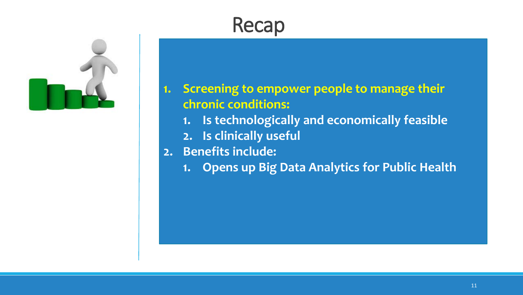## Recap

![](_page_10_Picture_1.jpeg)

### **1. Screening to empower people to manage their chronic conditions:**

- **1. Is technologically and economically feasible**
- **2. Is clinically useful**
- **2. Benefits include:**
	- **1. Opens up Big Data Analytics for Public Health**